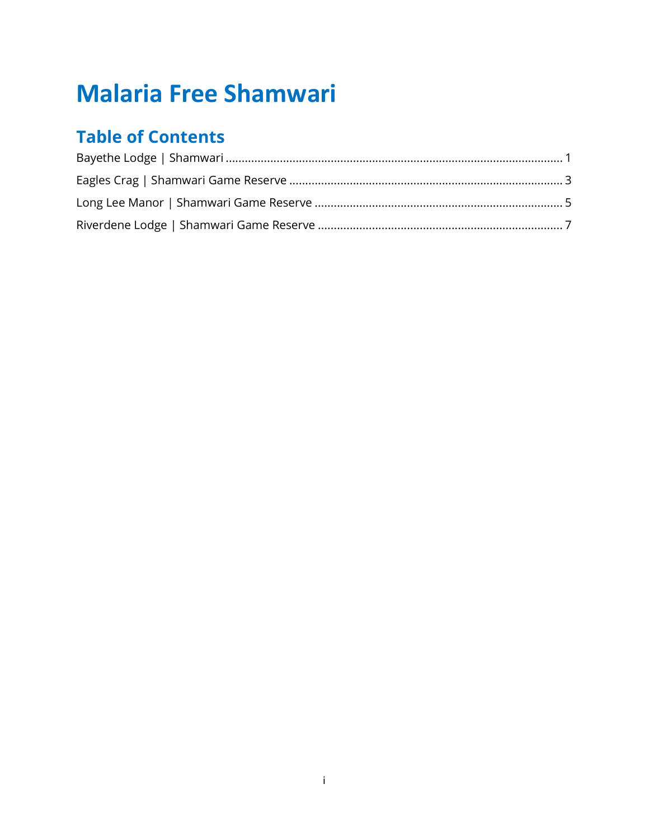# **Malaria Free Shamwari**

# **Table of Contents**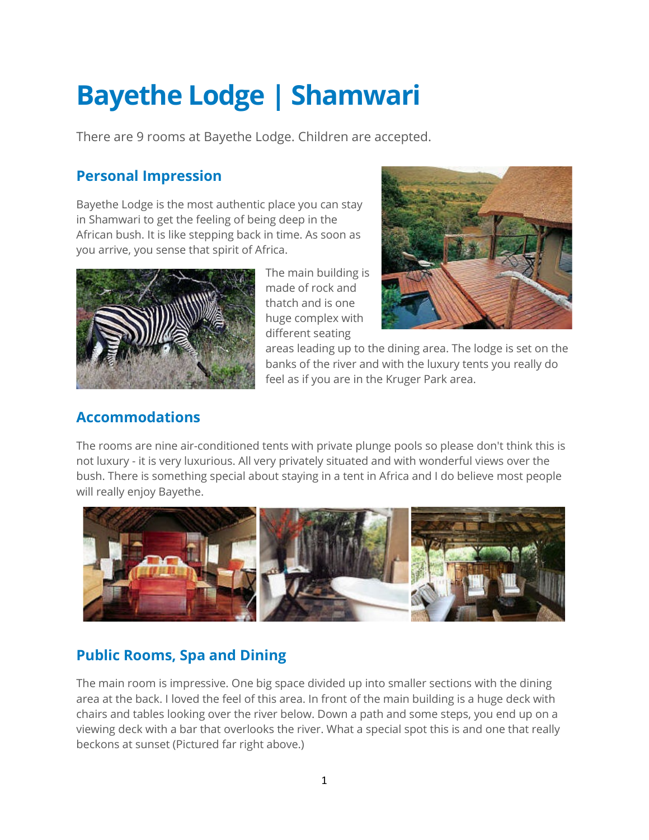# <span id="page-1-0"></span>**Bayethe Lodge | Shamwari**

There are 9 rooms at Bayethe Lodge. Children are accepted.

### **Personal Impression**

Bayethe Lodge is the most authentic place you can stay in Shamwari to get the feeling of being deep in the African bush. It is like stepping back in time. As soon as you arrive, you sense that spirit of Africa.



The main building is made of rock and thatch and is one huge complex with different seating



areas leading up to the dining area. The lodge is set on the banks of the river and with the luxury tents you really do feel as if you are in the Kruger Park area.

### **Accommodations**

The rooms are nine air-conditioned tents with private plunge pools so please don't think this is not luxury - it is very luxurious. All very privately situated and with wonderful views over the bush. There is something special about staying in a tent in Africa and I do believe most people will really enjoy Bayethe.



# **Public Rooms, Spa and Dining**

The main room is impressive. One big space divided up into smaller sections with the dining area at the back. I loved the feel of this area. In front of the main building is a huge deck with chairs and tables looking over the river below. Down a path and some steps, you end up on a viewing deck with a bar that overlooks the river. What a special spot this is and one that really beckons at sunset (Pictured far right above.)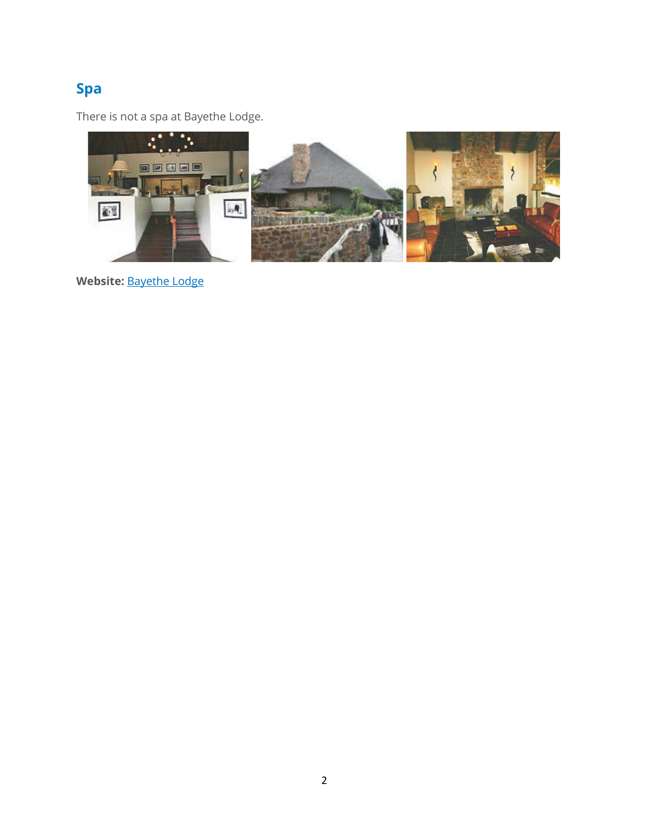# **Spa**

There is not a spa at Bayethe Lodge.



**Website:** [Bayethe Lodge](https://www.shamwari.com/safari-lodges/bayethe/)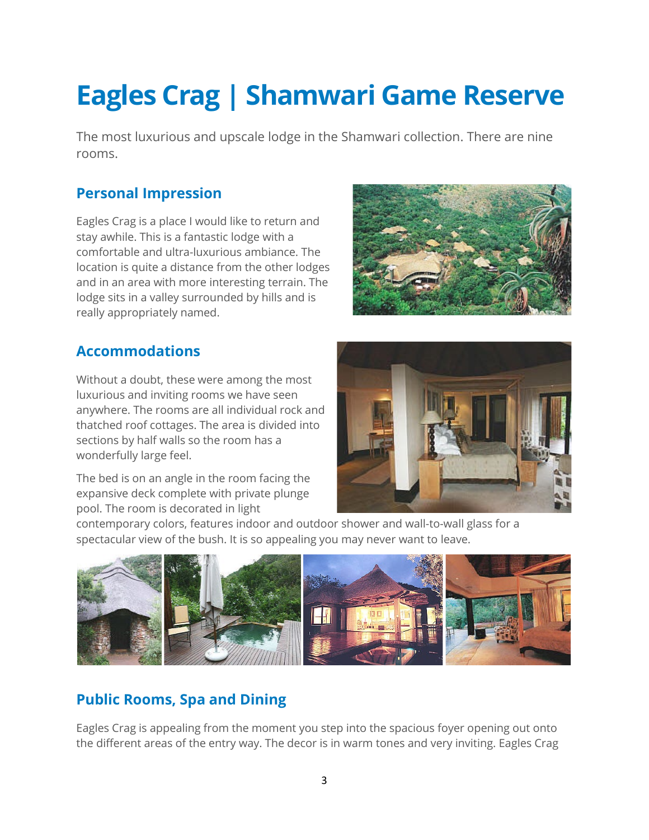# <span id="page-3-0"></span>**Eagles Crag | Shamwari Game Reserve**

The most luxurious and upscale lodge in the Shamwari collection. There are nine rooms.

#### **Personal Impression**

Eagles Crag is a place I would like to return and stay awhile. This is a fantastic lodge with a comfortable and ultra-luxurious ambiance. The location is quite a distance from the other lodges and in an area with more interesting terrain. The lodge sits in a valley surrounded by hills and is really appropriately named.



#### **Accommodations**

Without a doubt, these were among the most luxurious and inviting rooms we have seen anywhere. The rooms are all individual rock and thatched roof cottages. The area is divided into sections by half walls so the room has a wonderfully large feel.

The bed is on an angle in the room facing the expansive deck complete with private plunge pool. The room is decorated in light



contemporary colors, features indoor and outdoor shower and wall-to-wall glass for a spectacular view of the bush. It is so appealing you may never want to leave.



### **Public Rooms, Spa and Dining**

Eagles Crag is appealing from the moment you step into the spacious foyer opening out onto the different areas of the entry way. The decor is in warm tones and very inviting. Eagles Crag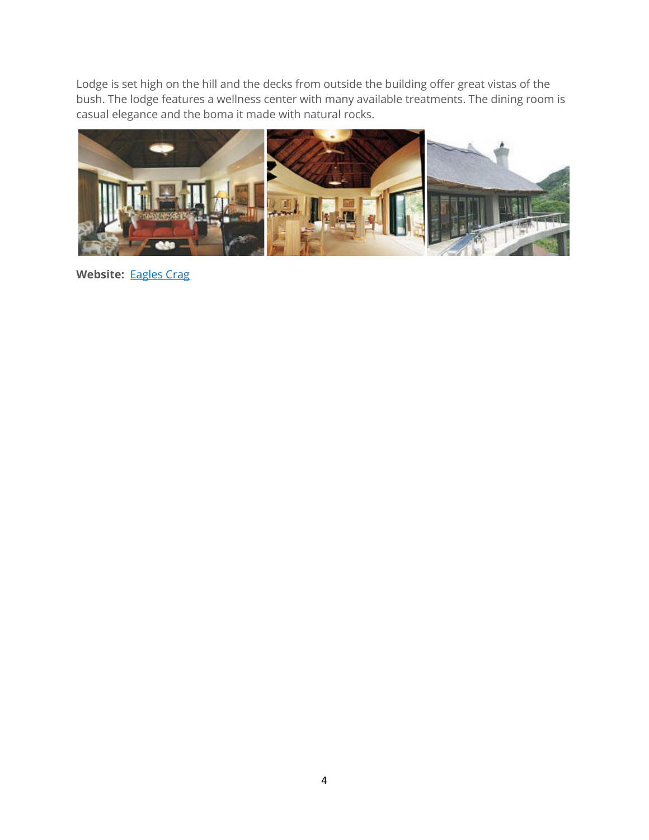Lodge is set high on the hill and the decks from outside the building offer great vistas of the bush. The lodge features a wellness center with many available treatments. The dining room is casual elegance and the boma it made with natural rocks.



Website: **[Eagles Crag](https://www.shamwari.com/safari-lodges/eagles-crag/)**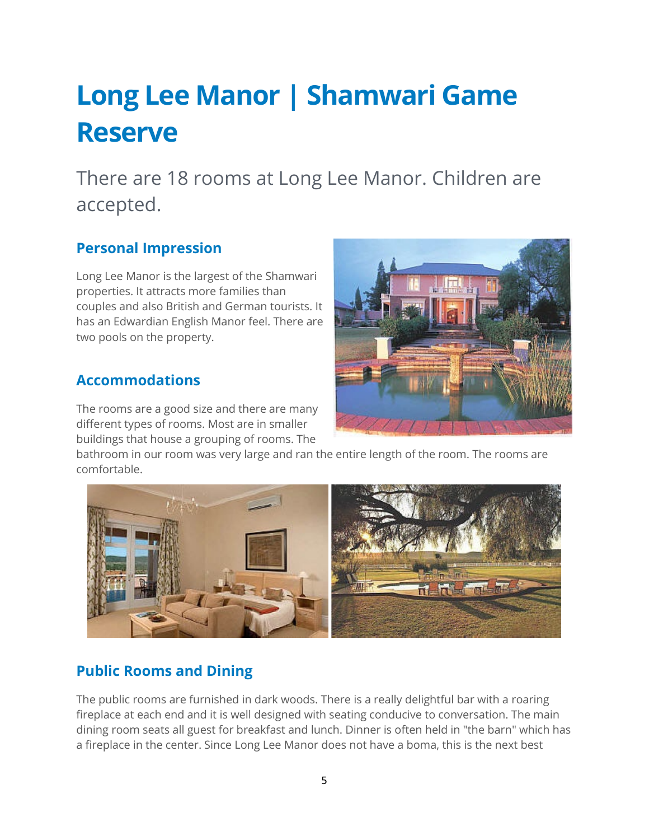# <span id="page-5-0"></span>**Long Lee Manor | Shamwari Game Reserve**

There are 18 rooms at Long Lee Manor. Children are accepted.

### **Personal Impression**

Long Lee Manor is the largest of the Shamwari properties. It attracts more families than couples and also British and German tourists. It has an Edwardian English Manor feel. There are two pools on the property.

#### **Accommodations**

The rooms are a good size and there are many different types of rooms. Most are in smaller buildings that house a grouping of rooms. The

bathroom in our room was very large and ran the entire length of the room. The rooms are comfortable.



### **Public Rooms and Dining**

The public rooms are furnished in dark woods. There is a really delightful bar with a roaring fireplace at each end and it is well designed with seating conducive to conversation. The main dining room seats all guest for breakfast and lunch. Dinner is often held in "the barn" which has a fireplace in the center. Since Long Lee Manor does not have a boma, this is the next best

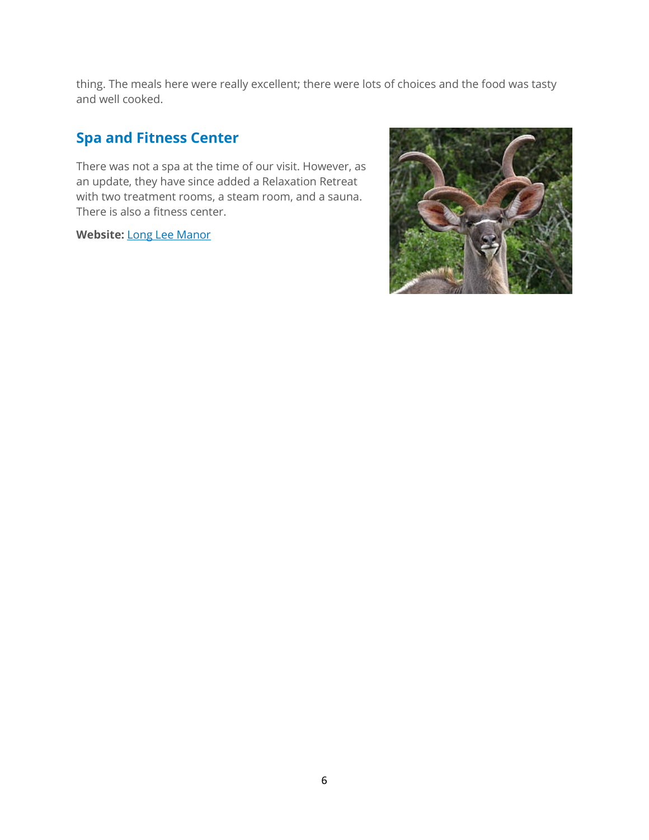thing. The meals here were really excellent; there were lots of choices and the food was tasty and well cooked.

## **Spa and Fitness Center**

There was not a spa at the time of our visit. However, as an update, they have since added a Relaxation Retreat with two treatment rooms, a steam room, and a sauna. There is also a fitness center.

**Website:** [Long Lee Manor](https://www.shamwari.com/safari-lodges/long-lee-manor/)

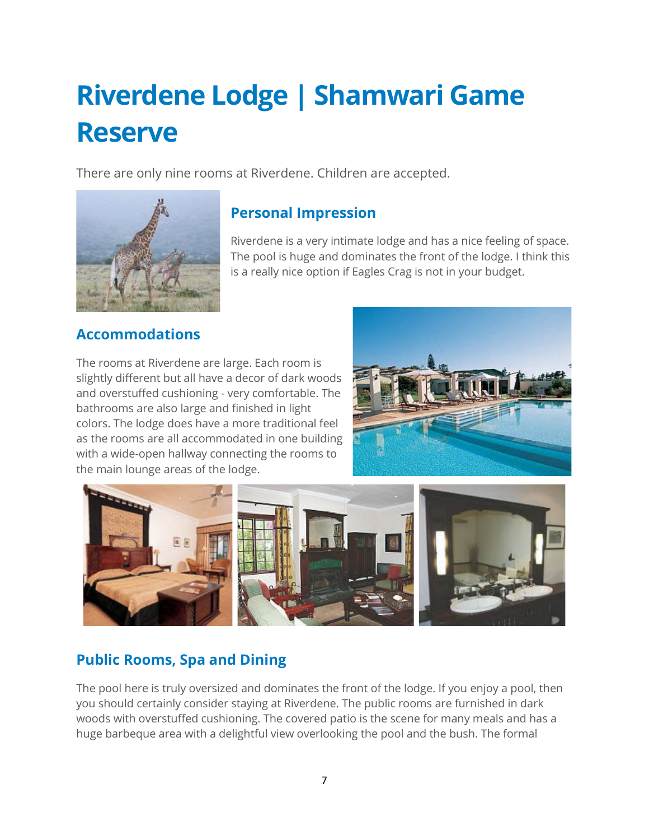# <span id="page-7-0"></span>**Riverdene Lodge | Shamwari Game Reserve**

There are only nine rooms at Riverdene. Children are accepted.



### **Personal Impression**

Riverdene is a very intimate lodge and has a nice feeling of space. The pool is huge and dominates the front of the lodge. I think this is a really nice option if Eagles Crag is not in your budget.

#### **Accommodations**

The rooms at Riverdene are large. Each room is slightly different but all have a decor of dark woods and overstuffed cushioning - very comfortable. The bathrooms are also large and finished in light colors. The lodge does have a more traditional feel as the rooms are all accommodated in one building with a wide-open hallway connecting the rooms to the main lounge areas of the lodge.





### **Public Rooms, Spa and Dining**

The pool here is truly oversized and dominates the front of the lodge. If you enjoy a pool, then you should certainly consider staying at Riverdene. The public rooms are furnished in dark woods with overstuffed cushioning. The covered patio is the scene for many meals and has a huge barbeque area with a delightful view overlooking the pool and the bush. The formal